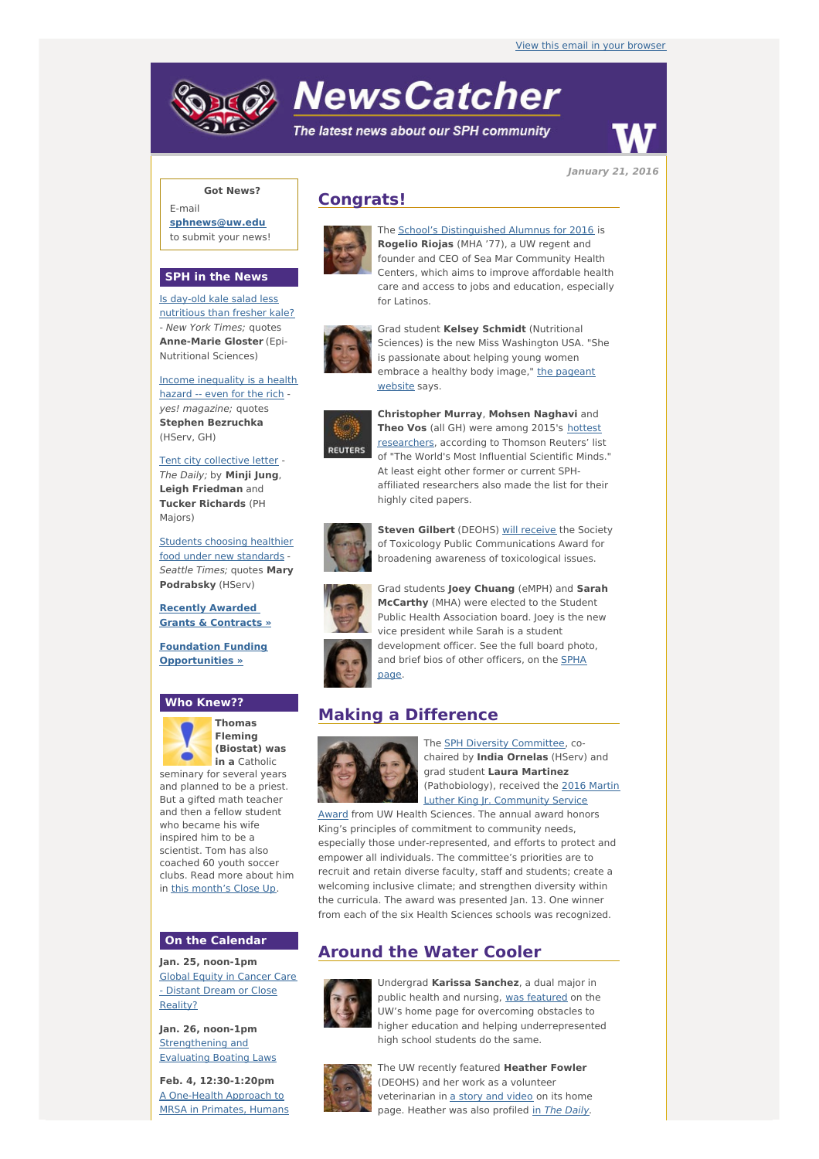# **NewsCatcher**

The latest news about our SPH community



**January 21, 2016**

## **Got News?**

E-mail **[sphnews@uw.edu](mailto:sphnews@uw.edu)** to submit your news!

#### **SPH in the News**

Is day-old kale salad less [nutritious](http://engage.washington.edu/site/R?i=3a1NhhTpvkVZDvEZYM44Ng) than fresher kale? - New York Times; quotes **Anne-Marie Gloster** (Epi-Nutritional Sciences)

Income [inequality](http://engage.washington.edu/site/R?i=ohVZr2qXLSwvp0d8Na9FoQ) is a health hazard -- even for the rich yes! magazine; quotes **Stephen Bezruchka** (HServ, GH)

Tent city [collective](http://engage.washington.edu/site/R?i=mU4111Y0ivLU8LQMN8FuEQ) letter - The Daily; by **Minji Jung**, **Leigh Friedman** and **Tucker Richards** (PH Majors)

Students choosing healthier food under new [standards](http://engage.washington.edu/site/R?i=kW6uhv52dpTjZfGPhbTcDA) -Seattle Times; quotes **Mary Podrabsky** (HServ)

**Recently Awarded Grants & [Contracts](http://engage.washington.edu/site/R?i=hTNSRiOplfRf5qVB13Nm5g) »**

**Foundation Funding [Opportunities](http://engage.washington.edu/site/R?i=iu8_U-Ya5LPSG0EqP5bnwg) »**

### **Who Knew??**



**Thomas Fleming (Biostat) was in a** Catholic

seminary for several years and planned to be a priest. But a gifted math teacher and then a fellow student who became his wife inspired him to be a scientist. Tom has also coached 60 youth soccer clubs. Read more about him in this [month's](http://engage.washington.edu/site/R?i=BwCUowGy3nFxEqL2SbvomA) Close Up.

# **On the Calendar**

**Jan. 25, noon-1pm** Global Equity in Cancer Care - Distant Dream or Close [Reality?](http://engage.washington.edu/site/R?i=06nqUZZ_QnJKe8HVdUDqhw)

**Jan. 26, noon-1pm** [Strengthening](http://engage.washington.edu/site/R?i=dEBQUu4OzycplVQ0RDusVQ) and Evaluating Boating Laws

**Feb. 4, 12:30-1:20pm** A [One-Health](http://engage.washington.edu/site/R?i=RibhkQIr5IEvRbSzkWMbyg) Approach to MRSA in Primates, Humans

# **Congrats!**



The School's [Distinguished](http://engage.washington.edu/site/R?i=LKPRudG7o_Toi7rGJPp7QQ) Alumnus for 2016 is **Rogelio Riojas** (MHA '77), a UW regent and founder and CEO of Sea Mar Community Health Centers, which aims to improve affordable health care and access to jobs and education, especially for Latinos.



Grad student **Kelsey Schmidt** (Nutritional Sciences) is the new Miss Washington USA. "She is passionate about helping young women [embrace](http://engage.washington.edu/site/R?i=vxp4JVjjvH2Mswu_JuYdNg) a healthy body image," the pageant website says.



**Christopher Murray**, **Mohsen Naghavi** and **Theo Vos** (all GH) were among 2015's hottest [researchers,](http://engage.washington.edu/site/R?i=Wgwnkb7AaonBw0UTpAo4lA) according to Thomson Reuters' list of "The World's Most Influential Scientific Minds." At least eight other former or current SPHaffiliated researchers also made the list for their highly cited papers.



**Steven Gilbert** (DEOHS) will [receive](http://engage.washington.edu/site/R?i=60BxXkbtl_SYfMlhr3PY2A) the Society of Toxicology Public Communications Award for broadening awareness of toxicological issues.

Grad students **Joey Chuang** (eMPH) and **Sarah McCarthy** (MHA) were elected to the Student Public Health Association board. Joey is the new vice president while Sarah is a student development officer. See the full board photo, and brief bios of other [officers,](http://engage.washington.edu/site/R?i=ELUjDY76oeAZvivWM2-HLQ) on the SPHA page.

## **Making a Difference**



The **SPH Diversity [Committee](http://engage.washington.edu/site/R?i=ZenZvGNGLbeiUHNcB1bLvg)**, cochaired by **India Ornelas** (HServ) and grad student **Laura Martinez** [\(Pathobiology\),](http://engage.washington.edu/site/R?i=XFqNvzLoaO0LhDwBe63y-Q) received the 2016 Martin Luther King Jr. Community Service

Award from UW Health Sciences. The annual award honors King's principles of commitment to community needs, especially those under-represented, and efforts to protect and empower all individuals. The committee's priorities are to recruit and retain diverse faculty, staff and students; create a welcoming inclusive climate; and strengthen diversity within the curricula. The award was presented Jan. 13. One winner from each of the six Health Sciences schools was recognized.

# **Around the Water Cooler**



Undergrad **Karissa Sanchez**, a dual major in public health and nursing, was [featured](http://engage.washington.edu/site/R?i=oDCRwfOL7-tehAAD30WG3g) on the UW's home page for overcoming obstacles to higher education and helping underrepresented high school students do the same.



The UW recently featured **Heather Fowler** (DEOHS) and her work as a volunteer veterinarian in a story and [video](http://engage.washington.edu/site/R?i=IWt6WqRh7AspLRhFhu2Z6A) on its home page. Heather was also profiled in The [Daily](http://engage.washington.edu/site/R?i=8YxFXBNBiJZlrGBPLlTNHQ).